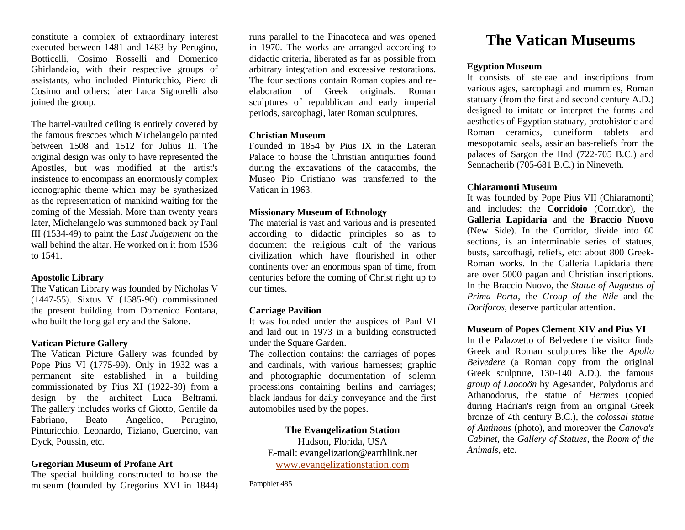constitute a complex of extraordinary interest executed between 1481 and 1483 by Perugino, Botticelli, Cosimo Rosselli and Domenico Ghirlandaio, with their respective groups of assistants, who included Pinturicchio, Piero di Cosimo and others; later Luca Signorelli also joined the group.

The barrel-vaulted ceiling is entirely covered by the famous frescoes which Michelangelo painted between 1508 and 1512 for Julius II. The original design was only to have represented the Apostles, but was modified at the artist's insistence to encompass an enormously complex iconographic theme which may be synthesized as the representation of mankind waiting for the coming of the Messiah. More than twenty years later, Michelangelo was summoned back by Paul III (1534-49) to paint the *Last Judgement* on the wall behind the altar. He worked on it from 1536 to 1541.

#### **Apostolic Library**

The Vatican Library was founded by Nicholas V (1447-55). Sixtus V (1585-90) commissioned the present building from Domenico Fontana, who built the long gallery and the Salone.

## **Vatican Picture Gallery**

The Vatican Picture Gallery was founded by Pope Pius VI (1775-99). Only in 1932 was a permanent site established in a building commissionated by Pius XI (1922-39) from a design by the architect Luca Beltrami. The gallery includes works of Giotto, Gentile da Fabriano, Beato Angelico, Perugino, Pinturicchio, Leonardo, Tiziano, Guercino, van Dyck, Poussin, etc.

## **Gregorian Museum of Profane Art**

The special building constructed to house the museum (founded by Gregorius XVI in 1844) runs parallel to the Pinacoteca and was opened in 1970. The works are arranged according to didactic criteria, liberated as far as possible from arbitrary integration and excessive restorations. The four sections contain Roman copies and reelaboration of Greek originals, Roman sculptures of repubblican and early imperial periods, sarcophagi, later Roman sculptures.

## **Christian Museum**

Founded in 1854 by Pius IX in the Lateran Palace to house the Christian antiquities found during the excavations of the catacombs, the Museo Pio Cristiano was transferred to the Vatican in 1963.

## **Missionary Museum of Ethnology**

The material is vast and various and is presented according to didactic principles so as to document the religious cult of the various civilization which have flourished in other continents over an enormous span of time, from centuries before the coming of Christ right up to our times.

## **Carriage Pavilion**

It was founded under the auspices of Paul VI and laid out in 1973 in a building constructed under the Square Garden.

The collection contains: the carriages of popes and cardinals, with various harnesses; graphic and photographic documentation of solemn processions containing berlins and carriages; black landaus for daily conveyance and the first automobiles used by the popes.

## **The Evangelization Station**

Hudson, Florida, USA E-mail: evangelization@earthlink.net [www.evangelizationstation.com](http://www.pjpiisoe.org/)

Pamphlet 485

# **The Vatican Museums**

## **Egyption Museum**

It consists of steleae and inscriptions from various ages, sarcophagi and mummies, Roman statuary (from the first and second century A.D.) designed to imitate or interpret the forms and aesthetics of Egyptian statuary, protohistoric and Roman ceramics, cuneiform tablets and mesopotamic seals, assirian bas-reliefs from the palaces of Sargon the IInd (722-705 B.C.) and Sennacherib (705-681 B.C.) in Nineveth.

## **Chiaramonti Museum**

It was founded by Pope Pius VII (Chiaramonti) and includes: the **Corridoio** (Corridor), the **Galleria Lapidaria** and the **Braccio Nuovo** (New Side). In the Corridor, divide into 60 sections, is an interminable series of statues, busts, sarcofhagi, reliefs, etc: about 800 Greek-Roman works. In the Galleria Lapidaria there are over 5000 pagan and Christian inscriptions. In the Braccio Nuovo, the *Statue of Augustus of Prima Porta*, the *Group of the Nile* and the *Doriforos*, deserve particular attention.

## **Museum of Popes Clement XIV and Pius VI**

In the Palazzetto of Belvedere the visitor finds Greek and Roman sculptures like the *Apollo Belvedere* (a Roman copy from the original Greek sculpture, 130-140 A.D.), the famous *group of Laocoön* by Agesander, Polydorus and Athanodorus, the statue of *Hermes* (copied during Hadrian's reign from an original Greek bronze of 4th century B.C.), the *colossal statue of Antinous* (photo), and moreover the *Canova's Cabinet*, the *Gallery of Statues*, the *Room of the Animals*, etc.